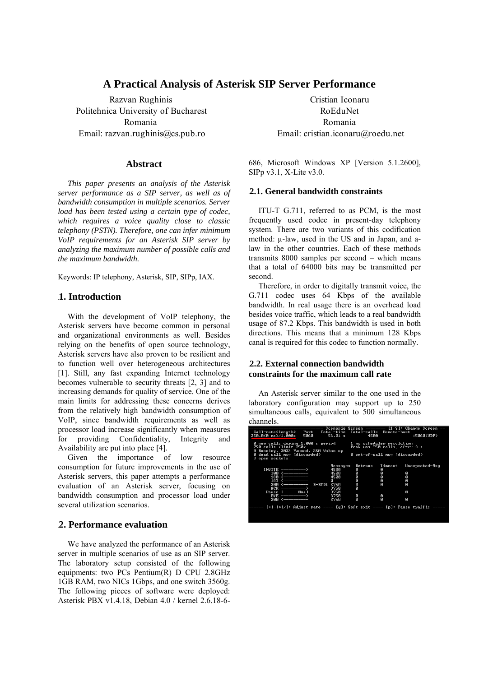# **A Practical Analysis of Asterisk SIP Server Performance**

Razvan Rughinis Politehnica University of Bucharest Romania Email: razvan.rughinis@cs.pub.ro

#### **Abstract**

*This paper presents an analysis of the Asterisk server performance as a SIP server, as well as of bandwidth consumption in multiple scenarios. Server load has been tested using a certain type of codec, which requires a voice quality close to classic telephony (PSTN). Therefore, one can infer minimum VoIP requirements for an Asterisk SIP server by analyzing the maximum number of possible calls and the maximum bandwidth.* 

Keywords: IP telephony, Asterisk, SIP, SIPp, IAX.

## **1. Introduction**

With the development of VoIP telephony, the Asterisk servers have become common in personal and organizational environments as well. Besides relying on the benefits of open source technology, Asterisk servers have also proven to be resilient and to function well over heterogeneous architectures [1]. Still, any fast expanding Internet technology becomes vulnerable to security threats [2, 3] and to increasing demands for quality of service. One of the main limits for addressing these concerns derives from the relatively high bandwidth consumption of VoIP, since bandwidth requirements as well as processor load increase significantly when measures for providing Confidentiality, Integrity and Availability are put into place [4].

Given the importance of low resource consumption for future improvements in the use of Asterisk servers, this paper attempts a performance evaluation of an Asterisk server, focusing on bandwidth consumption and processor load under several utilization scenarios.

### 2. Performance evaluation

We have analyzed the performance of an Asterisk server in multiple scenarios of use as an SIP server. The laboratory setup consisted of the following equipments: two PCs Pentium(R) D CPU 2.8GHz 1GB RAM, two NICs 1Gbps, and one switch 3560g. The following pieces of software were deployed: Asterisk PBX v1.4.18, Debian 4.0 / kernel 2.6.18-6-

Cristian Iconaru RoEduNet Romania Email: cristian.iconaru@roedu.net

686, Microsoft Windows XP [Version 5.1.2600], SIPp v3.1, X-Lite v3.0.

#### 4B**2.1. General bandwidth constraints**  4B

ITU-T G.711, referred to as PCM, is the most frequently used codec in present-day telephony system. There are two variants of this codification method:  $\mu$ -law, used in the US and in Japan, and alaw in the other countries. Each of these methods transmits 8000 samples per second – which means that a total of 64000 bits may be transmitted per second.

Therefore, in order to digitally transmit voice, the G.711 codec uses 64 Kbps of the available bandwidth. In real usage there is an overhead load besides voice traffic, which leads to a real bandwidth usage of 87.2 Kbps. This bandwidth is used in both directions. This means that a minimum 128 Kbps canal is required for this codec to function normally.

#### 5B**2.2. External connection bandwidth**  5B **constraints for the maximum call rate**

An Asterisk server similar to the one used in the laboratory configuration may support up to 250 simultaneous calls, equivalent to 500 simultaneous channels.

| Call—rate(length)<br>250.0(0 ms)/1.000s | Port<br>5060                                                                   | 56.01 s  | Total-time Total-calls Remote-host<br>4500                 |         | Scenario Screen ------- [1-9]: Change Screen<br>:5060(UDP) |
|-----------------------------------------|--------------------------------------------------------------------------------|----------|------------------------------------------------------------|---------|------------------------------------------------------------|
| 750 calls (limit 750)                   | 0 new calls during 1.000 s period<br>0 Running, 3033 Paused, 250 Woken up      |          | 1 ms scheduler resolution<br>Peak was 750 calls, after 3 s |         |                                                            |
| 3 open sockets                          | 0 dead call msg (discarded)                                                    |          | 0 out-of-call msg (discarded)                              |         |                                                            |
|                                         |                                                                                | Messages | Retrans                                                    | Timeout | Unexpected-Msg                                             |
|                                         | $INUITE$ ----------->                                                          | 45 АА    | ø                                                          | ø       |                                                            |
|                                         | 100 <----------                                                                | 4500     | Ø                                                          | ø       | Ø                                                          |
|                                         | 180 <----------                                                                | 4500     | Ø                                                          | ø       | Ø                                                          |
|                                         | $183$ $\longleftarrow$ $---$                                                   | Й        | Ø                                                          | ø       | Ø                                                          |
|                                         | 200 <---------- E-RTD1 3750                                                    |          | ø                                                          | Й       | Й                                                          |
|                                         | ACK ----------->                                                               | 3750     | ø                                                          |         |                                                            |
|                                         | Pause [ <i>Oms</i> ]                                                           | 3750     |                                                            |         | Й                                                          |
|                                         | $RVR$ ----------->                                                             | 3750     | ø                                                          | ø       |                                                            |
|                                         | 200 <----------                                                                | 3750     | Й                                                          | Й       | ø                                                          |
|                                         | ----- [+¦-¦*¦/]: Adjust rate ---- [q]: Soft exit ---- [p]: Pause traffic ----- |          |                                                            |         |                                                            |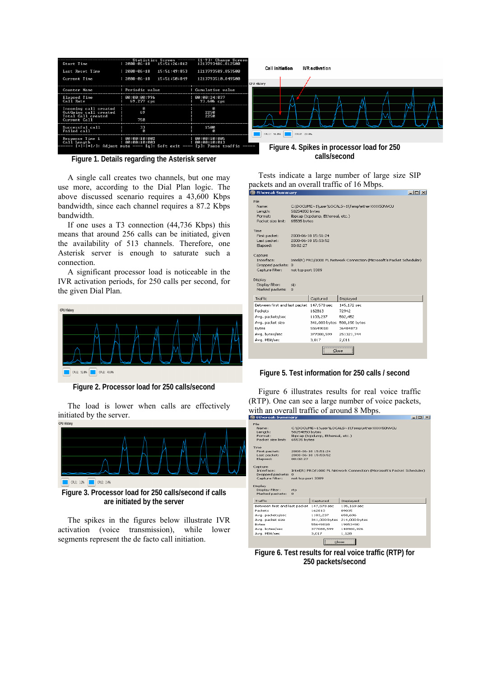| Start Time<br>Last Reset Time                                                        | Statistics Screen ------ [1-9]: Change Screen<br>$12008 - 06 - 18$ $15:51:26:812$<br>$12008 - 06 - 18$<br>15:51:49:853 | 1213793486.812500<br>1213793509.853500 | Call initiation    | <b>IVR</b> activation                      |
|--------------------------------------------------------------------------------------|------------------------------------------------------------------------------------------------------------------------|----------------------------------------|--------------------|--------------------------------------------|
| Current Time                                                                         | 15:51:50:849<br>$12008 - 06 - 18$                                                                                      | 1213793510.849500                      | <b>CPU History</b> |                                            |
| Counter Name                                                                         | : Periodic value                                                                                                       | : Cumulative value                     |                    |                                            |
| Elapsed Time<br>Call Rate                                                            | 00:00:00:996<br>$69.277$ cps                                                                                           | 00:00:24:037<br>93.606 сре             |                    |                                            |
| Incoming call created<br>OutGoing call created<br>Total Call created<br>Current Call | 69<br>750                                                                                                              | ø<br>2250<br>2250                      |                    |                                            |
| Successful call<br><b>Failed call</b>                                                | 33                                                                                                                     | 1500                                   | CPU1: 51.8%        | CPU2: 43.9%                                |
| Response Time 1<br>Call Length                                                       | 00:00:10:002<br>: 00:00:10:003<br>$[+]- */ $ : Adjust rate ---- [q]: Soft exit ---- [p]: Pause traffic -----           | 00:00:10:005<br>: 00:00:10:013         |                    | Figure 4, Spikes in processor load for 250 |

**Figure 1. Details regarding the Asterisk server** 

A single call creates two channels, but one may use more, according to the Dial Plan logic. The above discussed scenario requires a 43,600 Kbps bandwidth, since each channel requires a 87.2 Kbps bandwidth.

If one uses a T3 connection (44,736 Kbps) this means that around 256 calls can be initiated, given the availability of 513 channels. Therefore, one Asterisk server is enough to saturate such a connection.

A significant processor load is noticeable in the IVR activation periods, for 250 calls per second, for the given Dial Plan.



**Figure 2. Processor load for 250 calls/second** 

The load is lower when calls are effectively initiated by the server.



**Figure 3. Processor load for 250 calls/second if calls are initiated by the server** 

The spikes in the figures below illustrate IVR activation (voice transmission), while lower segments represent the de facto call initiation.

**Figure 4. Spikes in processor load for 250 calls/second** 

Tests indicate a large number of large size SIP packets and an overall traffic of 16 Mbps.

| <b>G</b> Ethereal: Summary                                   |                               |                                            | - 101 X                                                                |
|--------------------------------------------------------------|-------------------------------|--------------------------------------------|------------------------------------------------------------------------|
| File<br>Name:<br>Length:<br>Format:<br>Packet size limit:    | 58254850 bytes<br>65535 bytes | libpcap (tcpdump, Ethereal, etc.)          | C:\DOCUME~1\user\LOCALS~1\Temp\etherXXXX50NVCU                         |
| Time<br>First packet:<br>Last packet:<br>Elapsed:            | 00:02:27                      | 2008-06-18 15:51:24<br>2008-06-18 15:53:52 |                                                                        |
| Capture<br>Interface:<br>Dropped packets:<br>Capture filter: | n<br>not tcp port 3389        |                                            | Intel(R) PRO/1000 PL Network Connection (Microsoft's Packet Scheduler) |
| Display<br>Display filter:<br>Marked packets:                | sip<br>$\overline{0}$         |                                            |                                                                        |
| Traffic                                                      |                               | Captured                                   | Displayed                                                              |
| Between first and last packet 147,578 sec                    |                               |                                            | 145,172 sec                                                            |
| Packets                                                      |                               | 162813                                     | 72942                                                                  |
| Avg. packets/sec                                             |                               | 1103.237                                   | 502.452                                                                |
| Avg. packet size                                             |                               | 341,000 bytes                              | 500,190 bytes                                                          |
| Bytes                                                        |                               | 55649818                                   | 36484873                                                               |
| Avg. bytes/sec                                               |                               | 377088.599                                 | 251321.744                                                             |
| Avg. MBit/sec                                                |                               | 3,017                                      | 2,011                                                                  |
|                                                              |                               |                                            | <br>Close                                                              |

**Figure 5. Test information for 250 calls / second** 

Figure 6 illustrates results for real voice traffic (RTP). One can see a large number of voice packets, with an overall traffic of around 8 Mbps.  $\Box$ ml $\times$ l

| File<br>Name:<br>Length:<br>Eormat:<br>Packet size limit:                                                                           | 58254850 bytes<br>65535 bytes                          | libpcap (tcpdump, Ethereal, etc.)                                                     | C:\DOCUME~1\user\LOCALS~1\Temp\etherXXXX50NVCU                                      |  |
|-------------------------------------------------------------------------------------------------------------------------------------|--------------------------------------------------------|---------------------------------------------------------------------------------------|-------------------------------------------------------------------------------------|--|
| Time<br>First packet:<br>Last packet:<br>Elapsed:                                                                                   | 2008-06-18 15:51:24<br>2008-06-18 15:53:52<br>00:02:27 |                                                                                       |                                                                                     |  |
| Capture<br>Interface:<br>Dropped packets:<br>Capture filter:                                                                        | $\Omega$<br>not tcp port 3389                          |                                                                                       | Intel(R) PRO/1000 PL Network Connection (Microsoft's Packet Scheduler)              |  |
| Display<br>Display filter:<br>Marked packets:                                                                                       | rtp<br>$\Omega$                                        |                                                                                       |                                                                                     |  |
| Traffic                                                                                                                             |                                                        | Captured                                                                              | Displayed                                                                           |  |
| Between first and last packet<br>Packets<br>Avg. packets/sec<br>Avg. packet size<br><b>Bytes</b><br>Avg. bytes/sec<br>Avg. MBit/sec |                                                        | 147.578 sec<br>162813<br>1103,237<br>341,000 bytes<br>55649818<br>377088.599<br>3.017 | 135.169 sec<br>89035<br>658,696<br>214,000 bytes<br>19053490<br>140960.926<br>1.128 |  |
|                                                                                                                                     |                                                        |                                                                                       | Close<br>                                                                           |  |

**Figure 6. Test results for real voice traffic (RTP) for 250 packets/second**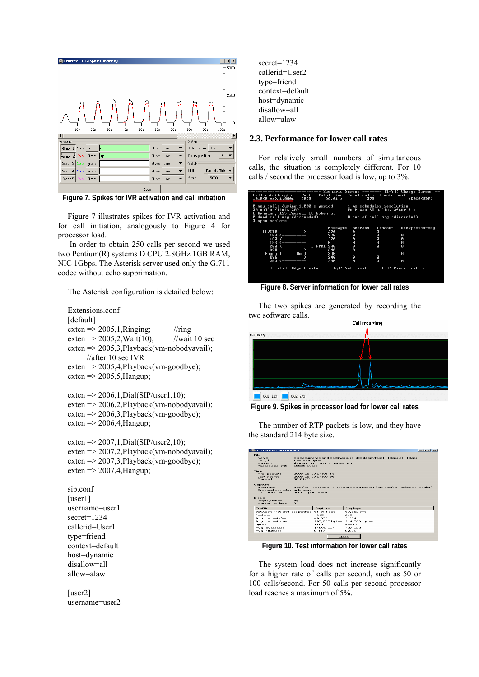

**Figure 7. Spikes for IVR activation and call initiation** 

Figure 7 illustrates spikes for IVR activation and for call initiation, analogously to Figure 4 for processor load.

 In order to obtain 250 calls per second we used two Pentium(R) systems D CPU 2.8GHz 1GB RAM, NIC 1Gbps. The Asterisk server used only the G.711 codec without echo supprimation.

The Asterisk configuration is detailed below:

Extensions.conf [default] exten  $\approx$  2005,1,Ringing; //ring exten =  $>$  2005, 2, Wait (10); //wait 10 sec exten => 2005,3,Playback(vm-nobodyavail); //after 10 sec IVR exten => 2005,4,Playback(vm-goodbye); exten  $\approx$  2005,5, Hangup; exten =  $> 2006, 1$ , Dial(SIP/user1, 10); exten => 2006,2,Playback(vm-nobodyavail); exten => 2006,3,Playback(vm-goodbye); exten  $\approx$  2006,4,Hangup; exten =  $> 2007, 1$ , Dial(SIP/user2, 10); exten => 2007,2,Playback(vm-nobodyavail); exten => 2007,3,Playback(vm-goodbye); exten  $\approx$  2007,4,Hangup; sip.conf [user1] username=user1 secret=1234 callerid=User1 type=friend context=default host=dynamic disallow=all allow=alaw [user2] username=user2

secret=1234 callerid=User2 type=friend context=default host=dynamic disallow=all allow=alaw

### 6B**2.3. Performance for lower call rates**

For relatively small numbers of simultaneous calls, the situation is completely different. For 10 calls / second the processor load is low, up to 3%.

| Call-rate(length)<br>Port<br>5060<br>10.0<0 ms)/1.000s                                                                                                                                             | Total-time<br>86.01 s                                                        | Total-calls Remote-host<br>270                                                             |                                            | Scenario Screen -------- L1-7J: Change Screen<br>:5060(UDP) |
|----------------------------------------------------------------------------------------------------------------------------------------------------------------------------------------------------|------------------------------------------------------------------------------|--------------------------------------------------------------------------------------------|--------------------------------------------|-------------------------------------------------------------|
| 0 new calls during 1.000 s period<br>30 calls (limit 30)<br>0 Running, 125 Paused, 10 Woken up<br>0 dead call msg (discarded)<br>3 open sockets                                                    |                                                                              | 1 ms scheduler resolution<br>Peak was 30 calls, after 3 s<br>0 out-of-call msg (discarded) |                                            |                                                             |
| $INUITE$ -----------><br>100 <----------<br>180 <-----------<br>$183$ $\longleftarrow$ $---$<br>200 <----------<br>$ACK$ ------------><br>Qms1<br>Pause [<br>$RVF$ ------------<br>200 <---------- | Messages<br>270<br>270<br>270<br>Й<br>E-RTD1 240<br>240<br>240<br>240<br>240 | Retrans<br>ø<br>Ø<br>Ø<br>Ø<br>Ø<br>ø<br>ø<br>ø                                            | Timeout<br>Ø<br>ø<br>ø<br>ø<br>Й<br>ø<br>Й | Unexpected-Msg<br>ø<br>ø<br>ø<br>Й<br>ø<br>ø                |
| ------ [+¦-¦*¦/]: Adjust rate ---- [q]: Soft exit ---- [p]: Pause traffic -----                                                                                                                    |                                                                              |                                                                                            |                                            |                                                             |

**Figure 8. Server information for lower call rates** 

The two spikes are generated by recording the two software calls.





The number of RTP packets is low, and they have the standard 214 byte size.

| <b>C</b> Ethereal: Summary                                                                                                   |                                                                                             |                                                                                                                                  |                                                                          | $-1$ $-1 \times$ |  |  |
|------------------------------------------------------------------------------------------------------------------------------|---------------------------------------------------------------------------------------------|----------------------------------------------------------------------------------------------------------------------------------|--------------------------------------------------------------------------|------------------|--|--|
| <b>Eile</b><br>Name:<br>Lenath:<br>Format:<br>Packet size limit:                                                             |                                                                                             | Ci\Documents and Settings\user\Desktop\Test1_10cps\t1_10cps<br>1251894 bytes<br>libpcap (tcpdump, Ethereal, etc.)<br>65535 bytes |                                                                          |                  |  |  |
| Tiron<br>First packet:<br>Last packet:<br>Elopsed:                                                                           | 00:01:21                                                                                    | 2008-06-10 14:06:13<br>2008-06-10 14:07:35                                                                                       |                                                                          |                  |  |  |
| Capture<br>Interface:<br>Dropped packets: unknown<br>Capture filter:                                                         | Intel(R) PRO/1000 PL Network Connection (Microsoft's Packet Scheduler)<br>not tcp port 3389 |                                                                                                                                  |                                                                          |                  |  |  |
| Display<br>Display filter:<br>Marked packets:                                                                                | $r$ to<br>$\Omega$                                                                          |                                                                                                                                  |                                                                          |                  |  |  |
| Traffic                                                                                                                      |                                                                                             | Captured                                                                                                                         | Displayed                                                                |                  |  |  |
| Between first and last packet<br>Packets<br>Avg. packets/sec<br>Avg. packet size<br>Bytes<br>Avg. bytes/sec<br>Avg. MBit/sec |                                                                                             | 81.391 sec<br>4015<br>49,330<br>295,000 bytes<br>1187630<br>14591,584<br>0.117                                                   | 63,562 sec<br>210<br>3.304<br>214,000 bytes<br>44940<br>707,026<br>0.006 |                  |  |  |
| $C$ lean-                                                                                                                    |                                                                                             |                                                                                                                                  |                                                                          |                  |  |  |

**Figure 10. Test information for lower call rates** 

The system load does not increase significantly for a higher rate of calls per second, such as 50 or 100 calls/second. For 50 calls per second processor load reaches a maximum of 5%.